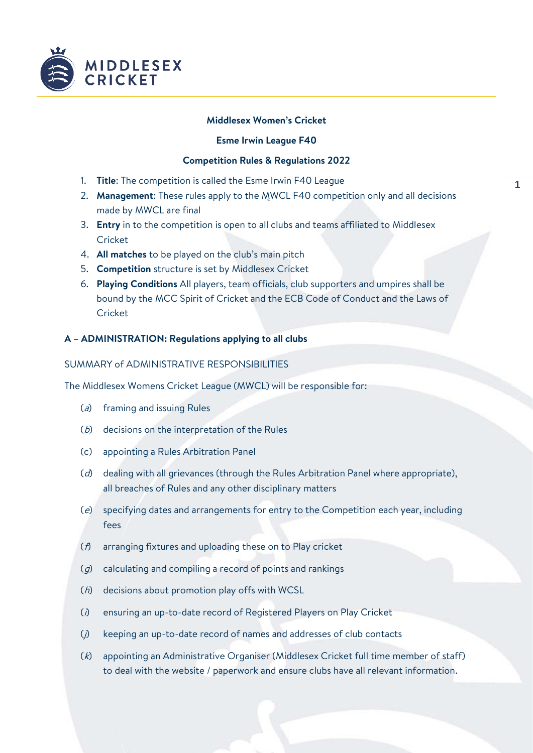

## **Middlesex Women's Cricket**

### **Esme Irwin League F40**

## **Competition Rules & Regulations 2022**

- 1. **Title**: The competition is called the Esme Irwin F40 League
- 2. **Management**: These rules apply to the MWCL F40 competition only and all decisions made by MWCL are final
- 3. **Entry** in to the competition is open to all clubs and teams affiliated to Middlesex Cricket
- 4. **All matches** to be played on the club's main pitch
- 5. **Competition** structure is set by Middlesex Cricket
- 6. **Playing Conditions** All players, team officials, club supporters and umpires shall be bound by the MCC Spirit of Cricket and the ECB Code of Conduct and the Laws of Cricket

## **A – ADMINISTRATION: Regulations applying to all clubs**

## SUMMARY of ADMINISTRATIVE RESPONSIBILITIES

The Middlesex Womens Cricket League (MWCL) will be responsible for:

- ( $a$ ) framing and issuing Rules
- (b) decisions on the interpretation of the Rules
- (c) appointing a Rules Arbitration Panel
- (d) dealing with all grievances (through the Rules Arbitration Panel where appropriate), all breaches of Rules and any other disciplinary matters
- (e) specifying dates and arrangements for entry to the Competition each year, including fees
- (f) arranging fixtures and uploading these on to Play cricket
- $(g)$  calculating and compiling a record of points and rankings
- (h) decisions about promotion play offs with WCSL
- (i) ensuring an up-to-date record of Registered Players on Play Cricket
- (j) keeping an up-to-date record of names and addresses of club contacts
- (k) appointing an Administrative Organiser (Middlesex Cricket full time member of staff) to deal with the website / paperwork and ensure clubs have all relevant information.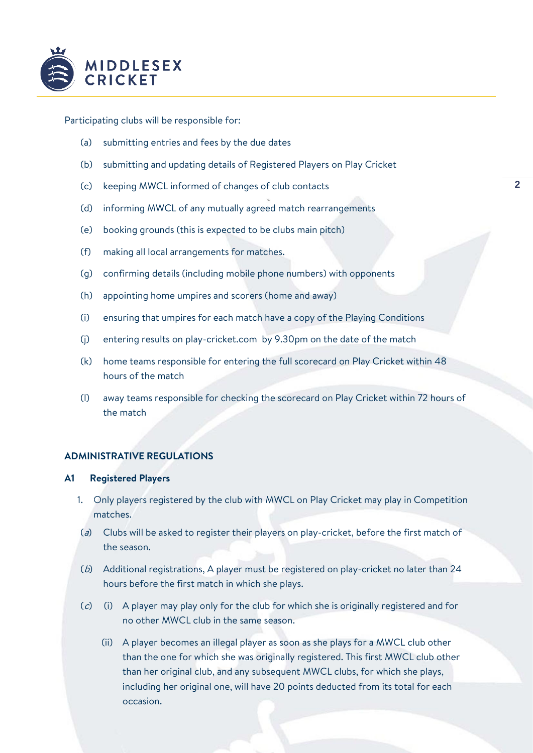

Participating clubs will be responsible for:

- (a) submitting entries and fees by the due dates
- (b) submitting and updating details of Registered Players on Play Cricket
- (c) keeping MWCL informed of changes of club contacts
- (d) informing MWCL of any mutually agreed match rearrangements
- (e) booking grounds (this is expected to be clubs main pitch)
- (f) making all local arrangements for matches.
- (g) confirming details (including mobile phone numbers) with opponents
- (h) appointing home umpires and scorers (home and away)
- (i) ensuring that umpires for each match have a copy of the Playing Conditions
- (j) entering results on play-cricket.com by 9.30pm on the date of the match
- (k) home teams responsible for entering the full scorecard on Play Cricket within 48 hours of the match
- (l) away teams responsible for checking the scorecard on Play Cricket within 72 hours of the match

# **ADMINISTRATIVE REGULATIONS**

### **A1 Registered Players**

- 1. Only players registered by the club with MWCL on Play Cricket may play in Competition matches.
- (a) Clubs will be asked to register their players on play-cricket, before the first match of the season.
- (b) Additional registrations, A player must be registered on play-cricket no later than 24 hours before the first match in which she plays.
- (c) (i) A player may play only for the club for which she is originally registered and for no other MWCL club in the same season.
	- (ii) A player becomes an illegal player as soon as she plays for a MWCL club other than the one for which she was originally registered. This first MWCL club other than her original club, and any subsequent MWCL clubs, for which she plays, including her original one, will have 20 points deducted from its total for each occasion.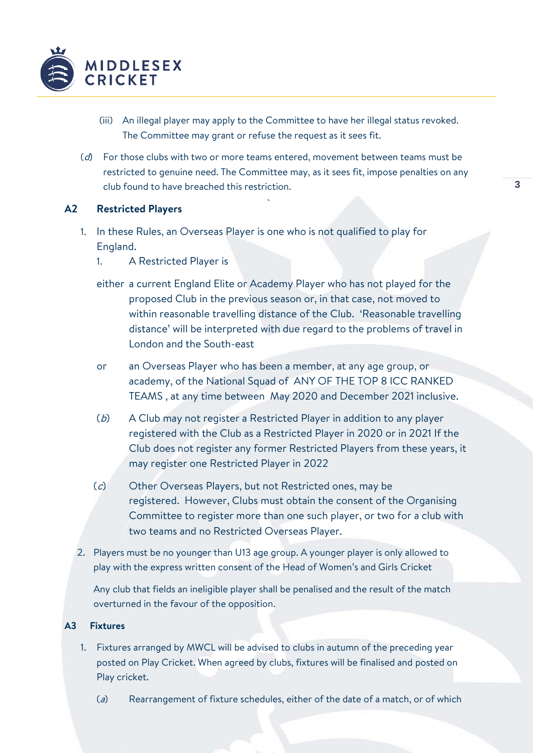

- (iii) An illegal player may apply to the Committee to have her illegal status revoked. The Committee may grant or refuse the request as it sees fit.
- $(d)$  For those clubs with two or more teams entered, movement between teams must be restricted to genuine need. The Committee may, as it sees fit, impose penalties on any club found to have breached this restriction.

# **A2 Restricted Players**

- 1. In these Rules, an Overseas Player is one who is not qualified to play for England.
	- 1. A Restricted Player is
	- either a current England Elite or Academy Player who has not played for the proposed Club in the previous season or, in that case, not moved to within reasonable travelling distance of the Club. 'Reasonable travelling distance' will be interpreted with due regard to the problems of travel in London and the South-east
	- or an Overseas Player who has been a member, at any age group, or academy, of the National Squad of ANY OF THE TOP 8 ICC RANKED TEAMS , at any time between May 2020 and December 2021 inclusive.
	- (b) A Club may not register a Restricted Player in addition to any player registered with the Club as a Restricted Player in 2020 or in 2021 If the Club does not register any former Restricted Players from these years, it may register one Restricted Player in 2022
	- (c) Other Overseas Players, but not Restricted ones, may be registered. However, Clubs must obtain the consent of the Organising Committee to register more than one such player, or two for a club with two teams and no Restricted Overseas Player.
- 2. Players must be no younger than U13 age group. A younger player is only allowed to play with the express written consent of the Head of Women's and Girls Cricket

Any club that fields an ineligible player shall be penalised and the result of the match overturned in the favour of the opposition.

## **A3 Fixtures**

- 1. Fixtures arranged by MWCL will be advised to clubs in autumn of the preceding year posted on Play Cricket. When agreed by clubs, fixtures will be finalised and posted on Play cricket.
	- ( $a$ ) Rearrangement of fixture schedules, either of the date of a match, or of which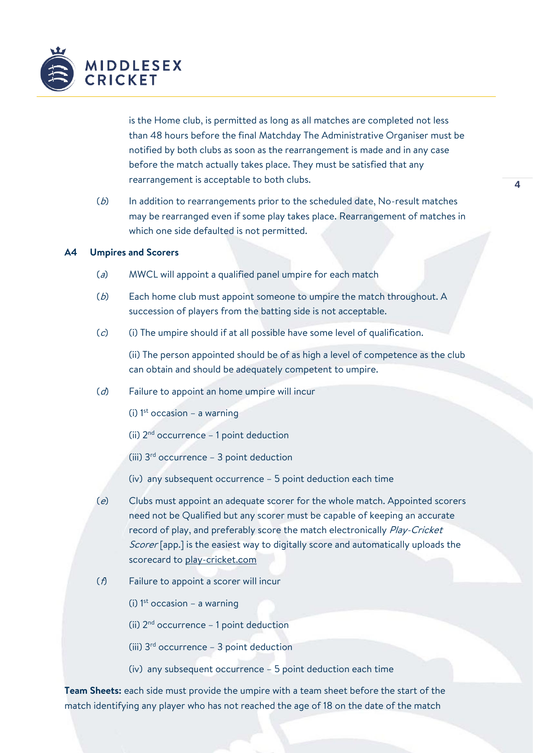

is the Home club, is permitted as long as all matches are completed not less than 48 hours before the final Matchday The Administrative Organiser must be notified by both clubs as soon as the rearrangement is made and in any case before the match actually takes place. They must be satisfied that any rearrangement is acceptable to both clubs.

(b) In addition to rearrangements prior to the scheduled date, No-result matches may be rearranged even if some play takes place. Rearrangement of matches in which one side defaulted is not permitted.

### **A4 Umpires and Scorers**

- $(a)$  MWCL will appoint a qualified panel umpire for each match
- (b) Each home club must appoint someone to umpire the match throughout. A succession of players from the batting side is not acceptable.
- (c) (i) The umpire should if at all possible have some level of qualification.

(ii) The person appointed should be of as high a level of competence as the club can obtain and should be adequately competent to umpire.

- (d) Failure to appoint an home umpire will incur
	- (i)  $1<sup>st</sup>$  occasion a warning
	- (ii)  $2<sup>nd</sup>$  occurrence 1 point deduction
	- (iii)  $3<sup>rd</sup>$  occurrence 3 point deduction
	- (iv) any subsequent occurrence 5 point deduction each time
- (e) Clubs must appoint an adequate scorer for the whole match. Appointed scorers need not be Qualified but any scorer must be capable of keeping an accurate record of play, and preferably score the match electronically Play-Cricket Scorer [app.] is the easiest way to digitally score and automatically uploads the scorecard t[o play-cricket.com](http://www.play-cricket.com/)
- (f) Failure to appoint a scorer will incur
	- (i)  $1<sup>st</sup>$  occasion a warning

(ii)  $2<sup>nd</sup>$  occurrence – 1 point deduction

- (iii)  $3^{rd}$  occurrence 3 point deduction
- (iv) any subsequent occurrence 5 point deduction each time

**Team Sheets:** each side must provide the umpire with a team sheet before the start of the match identifying any player who has not reached the age of 18 on the date of the match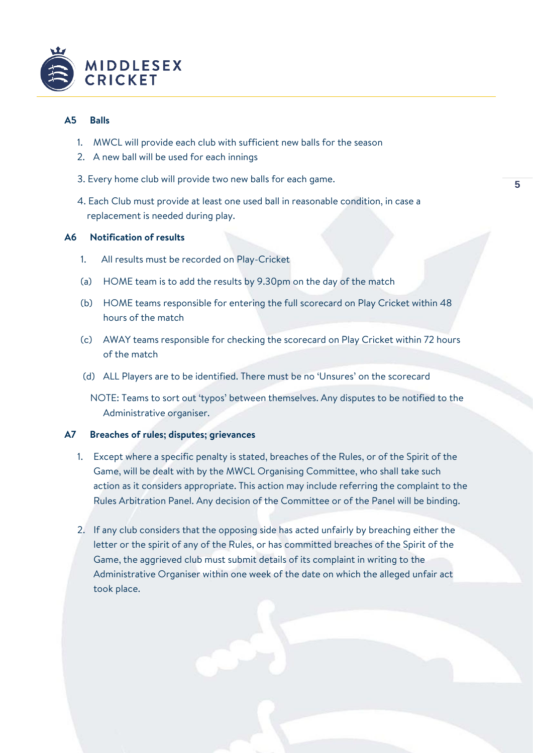

# **A5 Balls**

- 1. MWCL will provide each club with sufficient new balls for the season
- 2. A new ball will be used for each innings
- 3. Every home club will provide two new balls for each game.
- 4. Each Club must provide at least one used ball in reasonable condition, in case a replacement is needed during play.

## **A6 Notification of results**

- 1. All results must be recorded on Play-Cricket
- (a) HOME team is to add the results by 9.30pm on the day of the match
- (b) HOME teams responsible for entering the full scorecard on Play Cricket within 48 hours of the match
- (c) AWAY teams responsible for checking the scorecard on Play Cricket within 72 hours of the match
- (d) ALL Players are to be identified. There must be no 'Unsures' on the scorecard
	- NOTE: Teams to sort out 'typos' between themselves. Any disputes to be notified to the Administrative organiser.

## **A7 Breaches of rules; disputes; grievances**

- 1. Except where a specific penalty is stated, breaches of the Rules, or of the Spirit of the Game, will be dealt with by the MWCL Organising Committee, who shall take such action as it considers appropriate. This action may include referring the complaint to the Rules Arbitration Panel. Any decision of the Committee or of the Panel will be binding.
- 2. If any club considers that the opposing side has acted unfairly by breaching either the letter or the spirit of any of the Rules, or has committed breaches of the Spirit of the Game, the aggrieved club must submit details of its complaint in writing to the Administrative Organiser within one week of the date on which the alleged unfair act took place.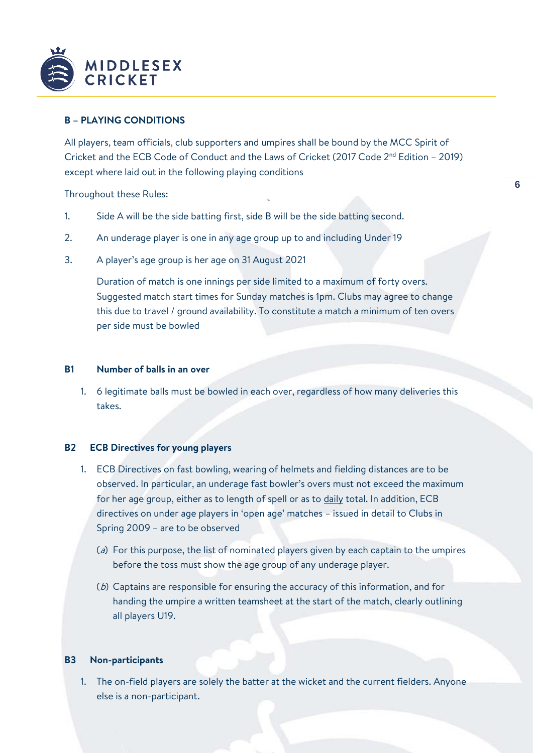

# **B – PLAYING CONDITIONS**

All players, team officials, club supporters and umpires shall be bound by the MCC Spirit of Cricket and the ECB Code of Conduct and the Laws of Cricket (2017 Code 2nd Edition – 2019) except where laid out in the following playing conditions

Throughout these Rules:

- 1. Side A will be the side batting first, side B will be the side batting second.
- 2. An underage player is one in any age group up to and including Under 19
- 3. A player's age group is her age on 31 August 2021

Duration of match is one innings per side limited to a maximum of forty overs. Suggested match start times for Sunday matches is 1pm. Clubs may agree to change this due to travel / ground availability. To constitute a match a minimum of ten overs per side must be bowled

## **B1 Number of balls in an over**

1. 6 legitimate balls must be bowled in each over, regardless of how many deliveries this takes.

# **B2 ECB Directives for young players**

- 1. ECB Directives on fast bowling, wearing of helmets and fielding distances are to be observed. In particular, an underage fast bowler's overs must not exceed the maximum for her age group, either as to length of spell or as to daily total. In addition, ECB directives on under age players in 'open age' matches – issued in detail to Clubs in Spring 2009 – are to be observed
	- (a) For this purpose, the list of nominated players given by each captain to the umpires before the toss must show the age group of any underage player.
	- (b) Captains are responsible for ensuring the accuracy of this information, and for handing the umpire a written teamsheet at the start of the match, clearly outlining all players U19.

#### **B3 Non-participants**

1. The on-field players are solely the batter at the wicket and the current fielders. Anyone else is a non-participant.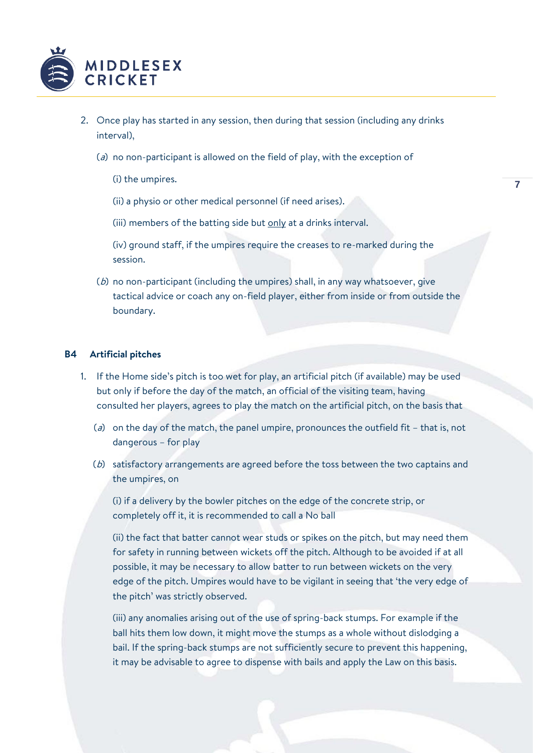

- 2. Once play has started in any session, then during that session (including any drinks interval),
	- ( $a$ ) no non-participant is allowed on the field of play, with the exception of
		- (i) the umpires.

(ii) a physio or other medical personnel (if need arises).

(iii) members of the batting side but only at a drinks interval.

(iv) ground staff, if the umpires require the creases to re-marked during the session.

(b) no non-participant (including the umpires) shall, in any way whatsoever, give tactical advice or coach any on-field player, either from inside or from outside the boundary.

#### **B4 Artificial pitches**

- 1. If the Home side's pitch is too wet for play, an artificial pitch (if available) may be used but only if before the day of the match, an official of the visiting team, having consulted her players, agrees to play the match on the artificial pitch, on the basis that
	- ( $a$ ) on the day of the match, the panel umpire, pronounces the outfield fit that is, not dangerous – for play
	- (b) satisfactory arrangements are agreed before the toss between the two captains and the umpires, on

(i) if a delivery by the bowler pitches on the edge of the concrete strip, or completely off it, it is recommended to call a No ball

(ii) the fact that batter cannot wear studs or spikes on the pitch, but may need them for safety in running between wickets off the pitch. Although to be avoided if at all possible, it may be necessary to allow batter to run between wickets on the very edge of the pitch. Umpires would have to be vigilant in seeing that 'the very edge of the pitch' was strictly observed.

(iii) any anomalies arising out of the use of spring-back stumps. For example if the ball hits them low down, it might move the stumps as a whole without dislodging a bail. If the spring-back stumps are not sufficiently secure to prevent this happening, it may be advisable to agree to dispense with bails and apply the Law on this basis.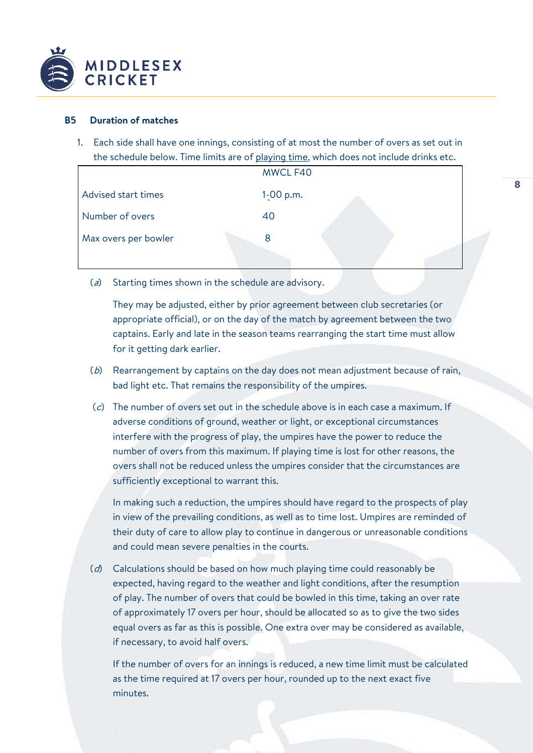

## **B5 Duration of matches**

1. Each side shall have one innings, consisting of at most the number of overs as set out in the schedule below. Time limits are of playing time, which does not include drinks etc.

|                      | MWCL F40    |  |
|----------------------|-------------|--|
| Advised start times  | $1-00$ p.m. |  |
| Number of overs      | 40          |  |
| Max overs per bowler |             |  |
|                      |             |  |

( $a$ ) Starting times shown in the schedule are advisory.

They may be adjusted, either by prior agreement between club secretaries (or appropriate official), or on the day of the match by agreement between the two captains. Early and late in the season teams rearranging the start time must allow for it getting dark earlier.

- (b) Rearrangement by captains on the day does not mean adjustment because of rain, bad light etc. That remains the responsibility of the umpires.
- (c) The number of overs set out in the schedule above is in each case a maximum. If adverse conditions of ground, weather or light, or exceptional circumstances interfere with the progress of play, the umpires have the power to reduce the number of overs from this maximum. If playing time is lost for other reasons, the overs shall not be reduced unless the umpires consider that the circumstances are sufficiently exceptional to warrant this.

In making such a reduction, the umpires should have regard to the prospects of play in view of the prevailing conditions, as well as to time lost. Umpires are reminded of their duty of care to allow play to continue in dangerous or unreasonable conditions and could mean severe penalties in the courts.

(d) Calculations should be based on how much playing time could reasonably be expected, having regard to the weather and light conditions, after the resumption of play. The number of overs that could be bowled in this time, taking an over rate of approximately 17 overs per hour, should be allocated so as to give the two sides equal overs as far as this is possible. One extra over may be considered as available, if necessary, to avoid half overs.

If the number of overs for an innings is reduced, a new time limit must be calculated as the time required at 17 overs per hour, rounded up to the next exact five minutes.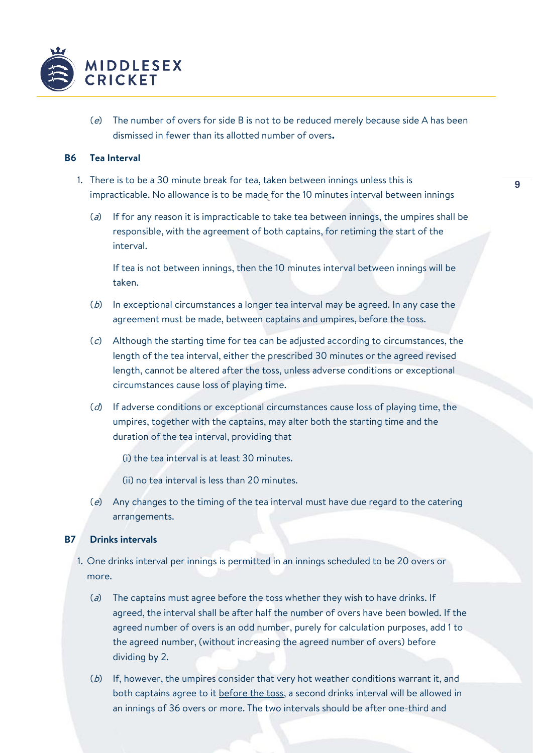

( $e$ ) The number of overs for side B is not to be reduced merely because side A has been dismissed in fewer than its allotted number of overs**.**

## **B6 Tea Interval**

- 1. There is to be a 30 minute break for tea, taken between innings unless this is impracticable. No allowance is to be made for the 10 minutes interval between innings
	- (a) If for any reason it is impracticable to take tea between innings, the umpires shall be responsible, with the agreement of both captains, for retiming the start of the interval.

If tea is not between innings, then the 10 minutes interval between innings will be taken.

- (b) In exceptional circumstances a longer tea interval may be agreed. In any case the agreement must be made, between captains and umpires, before the toss.
- $(c)$  Although the starting time for tea can be adjusted according to circumstances, the length of the tea interval, either the prescribed 30 minutes or the agreed revised length, cannot be altered after the toss, unless adverse conditions or exceptional circumstances cause loss of playing time.
- $(d)$  If adverse conditions or exceptional circumstances cause loss of playing time, the umpires, together with the captains, may alter both the starting time and the duration of the tea interval, providing that
	- (i) the tea interval is at least 30 minutes.
	- (ii) no tea interval is less than 20 minutes.
- (e) Any changes to the timing of the tea interval must have due regard to the catering arrangements.

## **B7 Drinks intervals**

- 1. One drinks interval per innings is permitted in an innings scheduled to be 20 overs or more.
	- ( $a$ ) The captains must agree before the toss whether they wish to have drinks. If agreed, the interval shall be after half the number of overs have been bowled. If the agreed number of overs is an odd number, purely for calculation purposes, add 1 to the agreed number, (without increasing the agreed number of overs) before dividing by 2.
	- (b) If, however, the umpires consider that very hot weather conditions warrant it, and both captains agree to it before the toss, a second drinks interval will be allowed in an innings of 36 overs or more. The two intervals should be after one-third and

**9**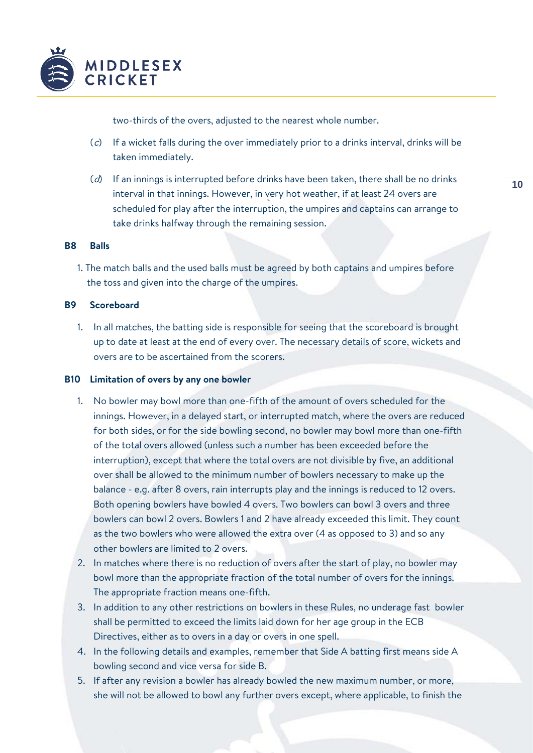

two-thirds of the overs, adjusted to the nearest whole number.

- (c) If a wicket falls during the over immediately prior to a drinks interval, drinks will be taken immediately.
- $(d)$  If an innings is interrupted before drinks have been taken, there shall be no drinks interval in that innings. However, in very hot weather, if at least 24 overs are scheduled for play after the interruption, the umpires and captains can arrange to take drinks halfway through the remaining session.

#### **B8 Balls**

1. The match balls and the used balls must be agreed by both captains and umpires before the toss and given into the charge of the umpires.

### **B9 Scoreboard**

1. In all matches, the batting side is responsible for seeing that the scoreboard is brought up to date at least at the end of every over. The necessary details of score, wickets and overs are to be ascertained from the scorers.

## **B10 Limitation of overs by any one bowler**

- 1. No bowler may bowl more than one-fifth of the amount of overs scheduled for the innings. However, in a delayed start, or interrupted match, where the overs are reduced for both sides, or for the side bowling second, no bowler may bowl more than one-fifth of the total overs allowed (unless such a number has been exceeded before the interruption), except that where the total overs are not divisible by five, an additional over shall be allowed to the minimum number of bowlers necessary to make up the balance - e.g. after 8 overs, rain interrupts play and the innings is reduced to 12 overs. Both opening bowlers have bowled 4 overs. Two bowlers can bowl 3 overs and three bowlers can bowl 2 overs. Bowlers 1 and 2 have already exceeded this limit. They count as the two bowlers who were allowed the extra over (4 as opposed to 3) and so any other bowlers are limited to 2 overs.
- 2. In matches where there is no reduction of overs after the start of play, no bowler may bowl more than the appropriate fraction of the total number of overs for the innings. The appropriate fraction means one-fifth.
- 3. In addition to any other restrictions on bowlers in these Rules, no underage fast bowler shall be permitted to exceed the limits laid down for her age group in the ECB Directives, either as to overs in a day or overs in one spell.
- 4. In the following details and examples, remember that Side A batting first means side A bowling second and vice versa for side B.
- 5. If after any revision a bowler has already bowled the new maximum number, or more, she will not be allowed to bowl any further overs except, where applicable, to finish the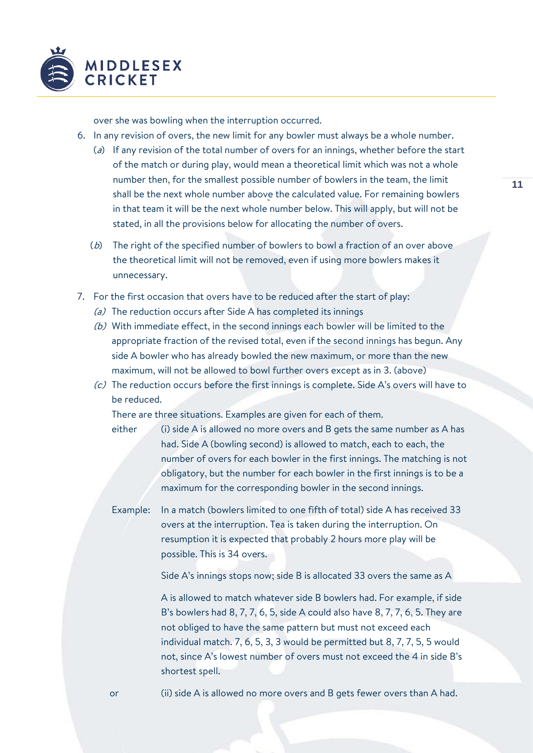

over she was bowling when the interruption occurred.

- 6. In any revision of overs, the new limit for any bowler must always be a whole number.
	- (a) If any revision of the total number of overs for an innings, whether before the start of the match or during play, would mean a theoretical limit which was not a whole number then, for the smallest possible number of bowlers in the team, the limit shall be the next whole number above the calculated value. For remaining bowlers in that team it will be the next whole number below. This will apply, but will not be stated, in all the provisions below for allocating the number of overs.
	- (b) The right of the specified number of bowlers to bowl a fraction of an over above the theoretical limit will not be removed, even if using more bowlers makes it unnecessary.
- 7. For the first occasion that overs have to be reduced after the start of play:
	- (a) The reduction occurs after Side A has completed its innings
	- (b) With immediate effect, in the second innings each bowler will be limited to the appropriate fraction of the revised total, even if the second innings has begun. Any side A bowler who has already bowled the new maximum, or more than the new maximum, will not be allowed to bowl further overs except as in 3. (above)
	- $(c)$  The reduction occurs before the first innings is complete. Side A's overs will have to be reduced.

There are three situations. Examples are given for each of them.

- either (i) side A is allowed no more overs and B gets the same number as A has had. Side A (bowling second) is allowed to match, each to each, the number of overs for each bowler in the first innings. The matching is not obligatory, but the number for each bowler in the first innings is to be a maximum for the corresponding bowler in the second innings.
- Example: In a match (bowlers limited to one fifth of total) side A has received 33 overs at the interruption. Tea is taken during the interruption. On resumption it is expected that probably 2 hours more play will be possible. This is 34 overs.

Side A's innings stops now; side B is allocated 33 overs the same as A

A is allowed to match whatever side B bowlers had. For example, if side B's bowlers had 8, 7, 7, 6, 5, side A could also have 8, 7, 7, 6, 5. They are not obliged to have the same pattern but must not exceed each individual match. 7, 6, 5, 3, 3 would be permitted but 8, 7, 7, 5, 5 would not, since A's lowest number of overs must not exceed the 4 in side B's shortest spell.

or (ii) side A is allowed no more overs and B gets fewer overs than A had.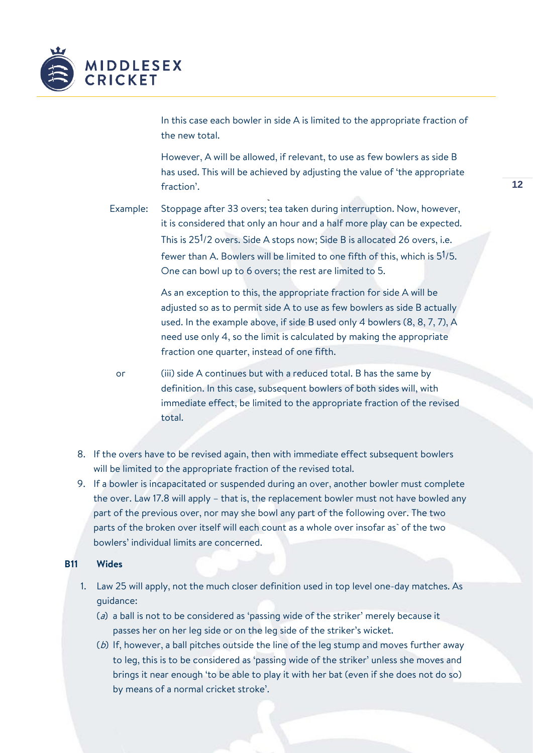

In this case each bowler in side A is limited to the appropriate fraction of the new total.

However, A will be allowed, if relevant, to use as few bowlers as side B has used. This will be achieved by adjusting the value of 'the appropriate fraction'.

Example: Stoppage after 33 overs; tea taken during interruption. Now, however, it is considered that only an hour and a half more play can be expected. This is 251/2 overs. Side A stops now; Side B is allocated 26 overs, i.e. fewer than A. Bowlers will be limited to one fifth of this, which is 51/5. One can bowl up to 6 overs; the rest are limited to 5.

> As an exception to this, the appropriate fraction for side A will be adjusted so as to permit side A to use as few bowlers as side B actually used. In the example above, if side B used only 4 bowlers (8, 8, 7, 7), A need use only 4, so the limit is calculated by making the appropriate fraction one quarter, instead of one fifth.

- or (iii) side A continues but with a reduced total. B has the same by definition. In this case, subsequent bowlers of both sides will, with immediate effect, be limited to the appropriate fraction of the revised total.
- 8. If the overs have to be revised again, then with immediate effect subsequent bowlers will be limited to the appropriate fraction of the revised total.
- 9. If a bowler is incapacitated or suspended during an over, another bowler must complete the over. Law 17.8 will apply – that is, the replacement bowler must not have bowled any part of the previous over, nor may she bowl any part of the following over. The two parts of the broken over itself will each count as a whole over insofar as` of the two bowlers' individual limits are concerned.

#### **B11 Wides**

- 1. Law 25 will apply, not the much closer definition used in top level one-day matches. As guidance:
	- ( $a$ ) a ball is not to be considered as 'passing wide of the striker' merely because it passes her on her leg side or on the leg side of the striker's wicket.
	- ( $b$ ) If, however, a ball pitches outside the line of the leg stump and moves further away to leg, this is to be considered as 'passing wide of the striker' unless she moves and brings it near enough 'to be able to play it with her bat (even if she does not do so) by means of a normal cricket stroke'.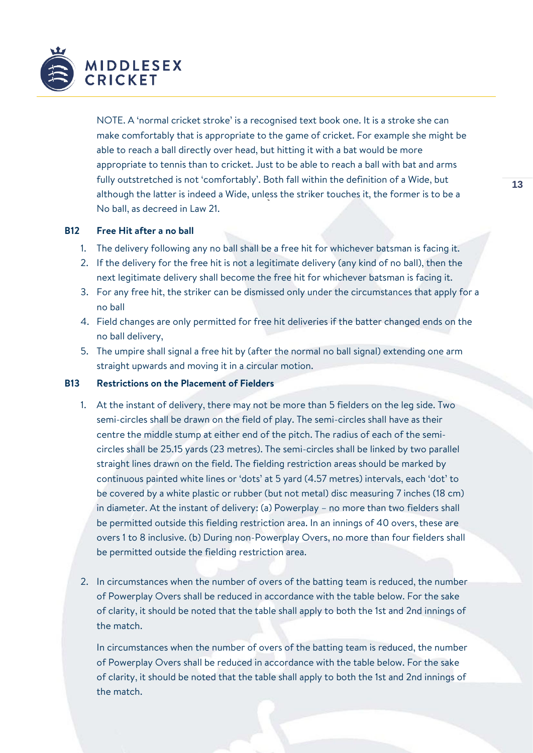

NOTE. A 'normal cricket stroke' is a recognised text book one. It is a stroke she can make comfortably that is appropriate to the game of cricket. For example she might be able to reach a ball directly over head, but hitting it with a bat would be more appropriate to tennis than to cricket. Just to be able to reach a ball with bat and arms fully outstretched is not 'comfortably'. Both fall within the definition of a Wide, but although the latter is indeed a Wide, unless the striker touches it, the former is to be a No ball, as decreed in Law 21.

# **B12 Free Hit after a no ball**

- 1. The delivery following any no ball shall be a free hit for whichever batsman is facing it.
- 2. If the delivery for the free hit is not a legitimate delivery (any kind of no ball), then the next legitimate delivery shall become the free hit for whichever batsman is facing it.
- 3. For any free hit, the striker can be dismissed only under the circumstances that apply for a no ball
- 4. Field changes are only permitted for free hit deliveries if the batter changed ends on the no ball delivery,
- 5. The umpire shall signal a free hit by (after the normal no ball signal) extending one arm straight upwards and moving it in a circular motion.

# **B13 Restrictions on the Placement of Fielders**

- 1. At the instant of delivery, there may not be more than 5 fielders on the leg side. Two semi-circles shall be drawn on the field of play. The semi-circles shall have as their centre the middle stump at either end of the pitch. The radius of each of the semicircles shall be 25.15 yards (23 metres). The semi-circles shall be linked by two parallel straight lines drawn on the field. The fielding restriction areas should be marked by continuous painted white lines or 'dots' at 5 yard (4.57 metres) intervals, each 'dot' to be covered by a white plastic or rubber (but not metal) disc measuring 7 inches (18 cm) in diameter. At the instant of delivery: (a) Powerplay – no more than two fielders shall be permitted outside this fielding restriction area. In an innings of 40 overs, these are overs 1 to 8 inclusive. (b) During non-Powerplay Overs, no more than four fielders shall be permitted outside the fielding restriction area.
- 2. In circumstances when the number of overs of the batting team is reduced, the number of Powerplay Overs shall be reduced in accordance with the table below. For the sake of clarity, it should be noted that the table shall apply to both the 1st and 2nd innings of the match.

In circumstances when the number of overs of the batting team is reduced, the number of Powerplay Overs shall be reduced in accordance with the table below. For the sake of clarity, it should be noted that the table shall apply to both the 1st and 2nd innings of the match.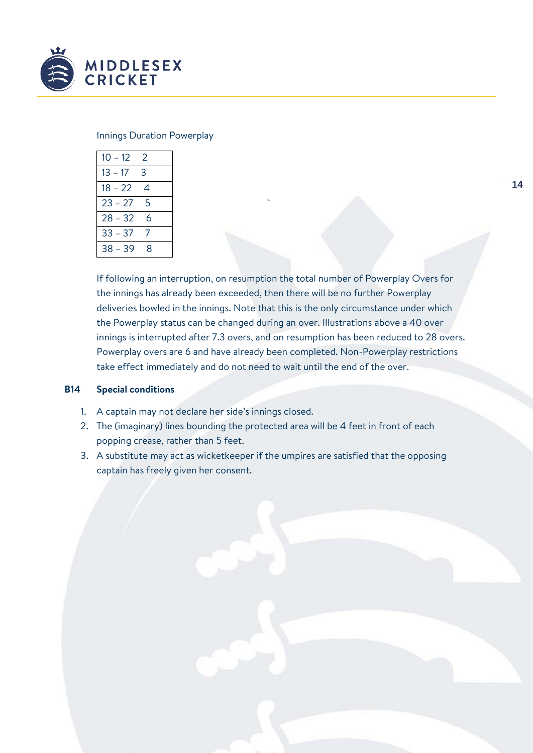

## Innings Duration Powerplay

| $10 - 12$ | 2 |
|-----------|---|
| $13 - 17$ | 3 |
| $18 - 22$ | 4 |
| $23 - 27$ | 5 |
| $28 - 32$ | 6 |
| $33 - 37$ | 7 |
| $38 - 39$ | 8 |

If following an interruption, on resumption the total number of Powerplay Overs for the innings has already been exceeded, then there will be no further Powerplay deliveries bowled in the innings. Note that this is the only circumstance under which the Powerplay status can be changed during an over. Illustrations above a 40 over innings is interrupted after 7.3 overs, and on resumption has been reduced to 28 overs. Powerplay overs are 6 and have already been completed. Non-Powerplay restrictions take effect immediately and do not need to wait until the end of the over.

## **B14 Special conditions**

- 1. A captain may not declare her side's innings closed.
- 2. The (imaginary) lines bounding the protected area will be 4 feet in front of each popping crease, rather than 5 feet.
- 3. A substitute may act as wicketkeeper if the umpires are satisfied that the opposing captain has freely given her consent.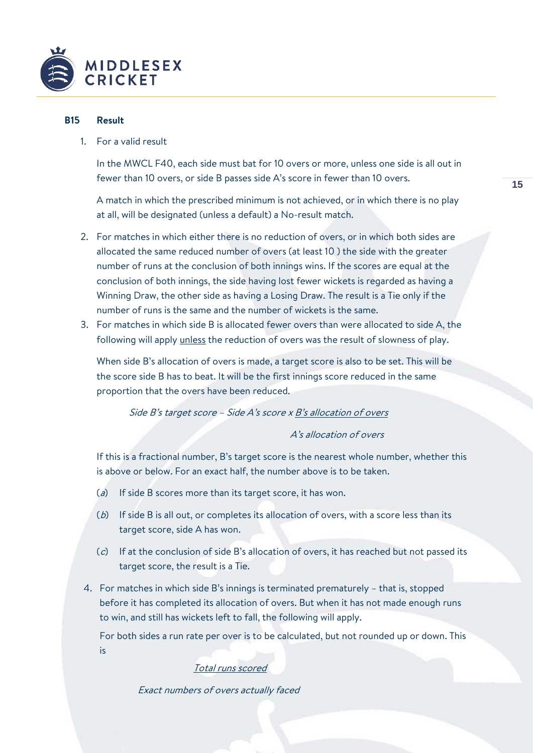

## **B15 Result**

1. For a valid result

In the MWCL F40, each side must bat for 10 overs or more, unless one side is all out in fewer than 10 overs, or side B passes side A's score in fewer than 10 overs.

A match in which the prescribed minimum is not achieved, or in which there is no play at all, will be designated (unless a default) a No-result match.

- 2. For matches in which either there is no reduction of overs, or in which both sides are allocated the same reduced number of overs (at least 10 ) the side with the greater number of runs at the conclusion of both innings wins. If the scores are equal at the conclusion of both innings, the side having lost fewer wickets is regarded as having a Winning Draw, the other side as having a Losing Draw. The result is a Tie only if the number of runs is the same and the number of wickets is the same.
- 3. For matches in which side B is allocated fewer overs than were allocated to side A, the following will apply unless the reduction of overs was the result of slowness of play.

When side B's allocation of overs is made, a target score is also to be set. This will be the score side B has to beat. It will be the first innings score reduced in the same proportion that the overs have been reduced.

# Side B's target score - Side A's score x B's allocation of overs

#### A's allocation of overs

If this is a fractional number, B's target score is the nearest whole number, whether this is above or below. For an exact half, the number above is to be taken.

- $(a)$  If side B scores more than its target score, it has won.
- $(b)$  If side B is all out, or completes its allocation of overs, with a score less than its target score, side A has won.
- $(c)$  If at the conclusion of side B's allocation of overs, it has reached but not passed its target score, the result is a Tie.
- 4. For matches in which side B's innings is terminated prematurely that is, stopped before it has completed its allocation of overs. But when it has not made enough runs to win, and still has wickets left to fall, the following will apply.

For both sides a run rate per over is to be calculated, but not rounded up or down. This is

# Total runs scored

Exact numbers of overs actually faced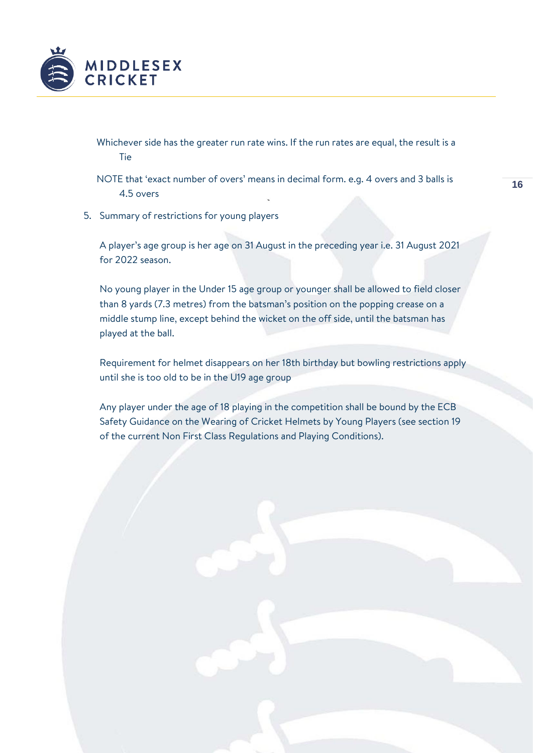

Whichever side has the greater run rate wins. If the run rates are equal, the result is a **Tie** 

NOTE that 'exact number of overs' means in decimal form. e.g. 4 overs and 3 balls is 4.5 overs

5. Summary of restrictions for young players

A player's age group is her age on 31 August in the preceding year i.e. 31 August 2021 for 2022 season.

No young player in the Under 15 age group or younger shall be allowed to field closer than 8 yards (7.3 metres) from the batsman's position on the popping crease on a middle stump line, except behind the wicket on the off side, until the batsman has played at the ball.

Requirement for helmet disappears on her 18th birthday but bowling restrictions apply until she is too old to be in the U19 age group

Any player under the age of 18 playing in the competition shall be bound by the ECB Safety Guidance on the Wearing of Cricket Helmets by Young Players (see section 19 of the current Non First Class Regulations and Playing Conditions).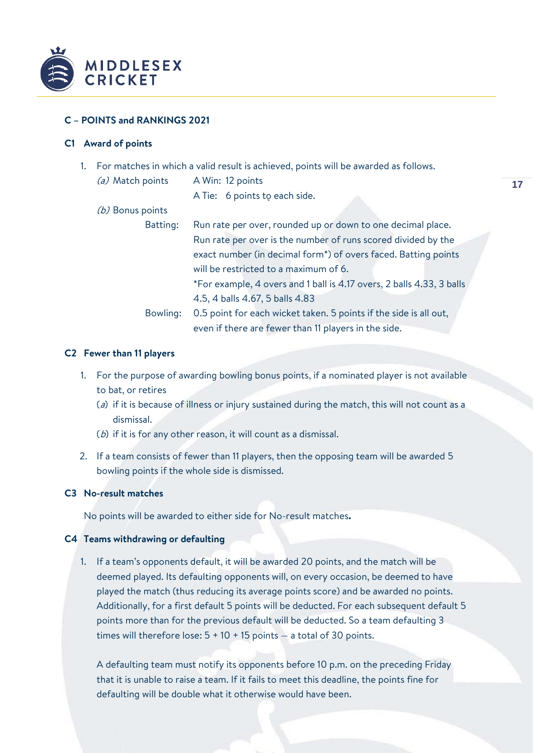

# **C – POINTS and RANKINGS 2021**

# **C1 Award of points**

- 1. For matches in which a valid result is achieved, points will be awarded as follows.
	- (a) Match points A Win: 12 points

A Tie: 6 points to each side.

| (b) Bonus points |  |
|------------------|--|
|                  |  |
|                  |  |

| Batting: | Run rate per over, rounded up or down to one decimal place.           |  |
|----------|-----------------------------------------------------------------------|--|
|          | Run rate per over is the number of runs scored divided by the         |  |
|          | exact number (in decimal form*) of overs faced. Batting points        |  |
|          | will be restricted to a maximum of 6.                                 |  |
|          | *For example, 4 overs and 1 ball is 4.17 overs, 2 balls 4.33, 3 balls |  |
|          | 4.5, 4 balls 4.67, 5 balls 4.83                                       |  |
| Bowling: | 0.5 point for each wicket taken. 5 points if the side is all out,     |  |
|          | even if there are fewer than 11 players in the side.                  |  |

### **C2 Fewer than 11 players**

- 1. For the purpose of awarding bowling bonus points, if a nominated player is not available to bat, or retires
	- (a) if it is because of illness or injury sustained during the match, this will not count as a dismissal.
	- (b) if it is for any other reason, it will count as a dismissal.
- 2. If a team consists of fewer than 11 players, then the opposing team will be awarded 5 bowling points if the whole side is dismissed.

## **C3 No-result matches**

No points will be awarded to either side for No-result matches**.**

### **C4 Teams withdrawing or defaulting**

1. If a team's opponents default, it will be awarded 20 points, and the match will be deemed played. Its defaulting opponents will, on every occasion, be deemed to have played the match (thus reducing its average points score) and be awarded no points. Additionally, for a first default 5 points will be deducted. For each subsequent default 5 points more than for the previous default will be deducted. So a team defaulting 3 times will therefore lose:  $5 + 10 + 15$  points - a total of 30 points.

A defaulting team must notify its opponents before 10 p.m. on the preceding Friday that it is unable to raise a team. If it fails to meet this deadline, the points fine for defaulting will be double what it otherwise would have been.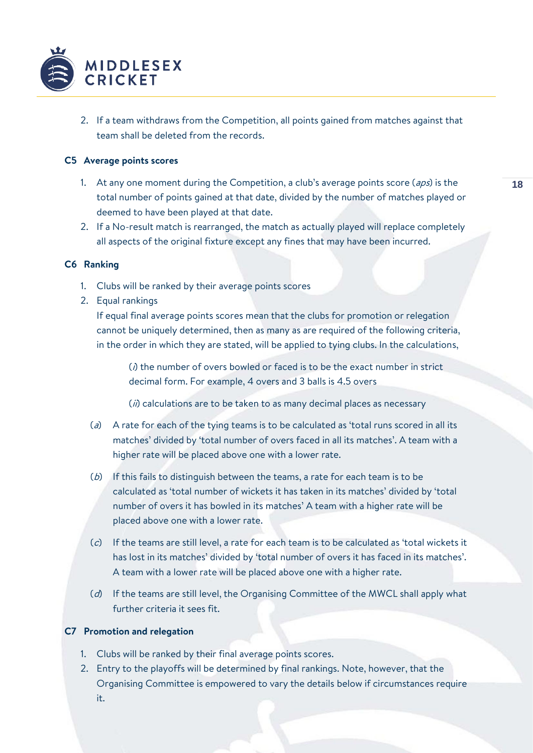

2. If a team withdraws from the Competition, all points gained from matches against that team shall be deleted from the records.

## **C5 Average points scores**

- 1. At any one moment during the Competition, a club's average points score  $(aps)$  is the total number of points gained at that date, divided by the number of matches played or deemed to have been played at that date.
- 2. If a No-result match is rearranged, the match as actually played will replace completely all aspects of the original fixture except any fines that may have been incurred.

# **C6 Ranking**

- 1. Clubs will be ranked by their average points scores
- 2. Equal rankings

If equal final average points scores mean that the clubs for promotion or relegation cannot be uniquely determined, then as many as are required of the following criteria, in the order in which they are stated, will be applied to tying clubs. In the calculations,

 $(i)$  the number of overs bowled or faced is to be the exact number in strict decimal form. For example, 4 overs and 3 balls is 4.5 overs

 $(i)$  calculations are to be taken to as many decimal places as necessary

- (a) A rate for each of the tying teams is to be calculated as 'total runs scored in all its matches' divided by 'total number of overs faced in all its matches'. A team with a higher rate will be placed above one with a lower rate.
- $(b)$  If this fails to distinguish between the teams, a rate for each team is to be calculated as 'total number of wickets it has taken in its matches' divided by 'total number of overs it has bowled in its matches' A team with a higher rate will be placed above one with a lower rate.
- (c) If the teams are still level, a rate for each team is to be calculated as 'total wickets it has lost in its matches' divided by 'total number of overs it has faced in its matches'. A team with a lower rate will be placed above one with a higher rate.
- (d) If the teams are still level, the Organising Committee of the MWCL shall apply what further criteria it sees fit.

# **C7 Promotion and relegation**

- 1. Clubs will be ranked by their final average points scores.
- 2. Entry to the playoffs will be determined by final rankings. Note, however, that the Organising Committee is empowered to vary the details below if circumstances require it.